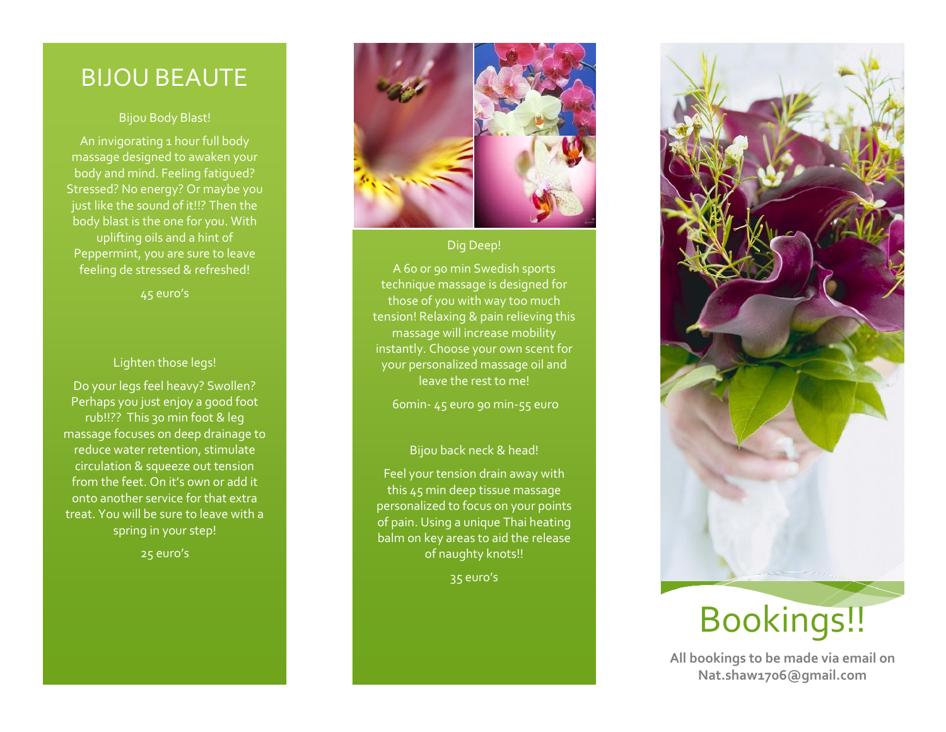### BIJOU BEA UTE

### Bijou Body Blast!

An invigorating 1 hour full body massage designed to awaken your body and mind. Feeling fatigued? Stressed? No energy? Or maybe you just like the sound of it!!? Then the body blast is the one for you. With uplifting oils and a hint of Peppermint, you are sure to leave feeling de stressed & refreshed!

45 euro's

### Lighten those legs!

Do your legs feel heavy? Swollen? Perhaps you just enjoy a good foot rub!!?? This 30 min foot & leg massage focuses on deep drainage to reduce water retention, stimulate circulation & squeeze out tension from the feet. On it's own or add it onto another service for that extra treat. You will be sure to leave with a spring in your step!

25 euro's



Dig Deep!

A 60 or 90 min Swedish sports technique massage is designed for those of you with way too much tension! Relaxing & pain relieving this massage will increase mobility instantly. Choose your own scent for your personalized massage oil and leave the rest to me!

60min - 45 euro 90 min -55 euro

### Bijou back neck & head!

Feel your tension drain away with this 45 min deep tissue massage personalized to focus on your points of pain. Using a unique Thai heating balm on key areas to aid the release of naughty knots!!

35 euro's



## Bookings!!

**All bookings to be made via email on Nat.shaw1706@gmail.com**